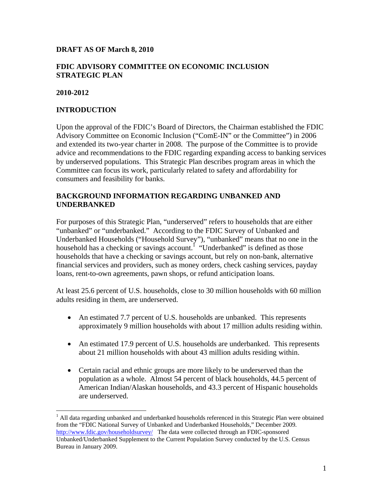### **DRAFT AS OF March 8, 2010**

### **FDIC ADVISORY COMMITTEE ON ECONOMIC INCLUSION STRATEGIC PLAN**

#### **2010-2012**

1

### **INTRODUCTION**

Upon the approval of the FDIC's Board of Directors, the Chairman established the FDIC Advisory Committee on Economic Inclusion ("ComE-IN" or the Committee") in 2006 and extended its two-year charter in 2008. The purpose of the Committee is to provide advice and recommendations to the FDIC regarding expanding access to banking services by underserved populations. This Strategic Plan describes program areas in which the Committee can focus its work, particularly related to safety and affordability for consumers and feasibility for banks.

## **BACKGROUND INFORMATION REGARDING UNBANKED AND UNDERBANKED**

For purposes of this Strategic Plan, "underserved" refers to households that are either "unbanked" or "underbanked." According to the FDIC Survey of Unbanked and Underbanked Households ("Household Survey"), "unbanked" means that no one in the household has a checking or savings account.<sup>1</sup> "Underbanked" is defined as those households that have a checking or savings account, but rely on non-bank, alternative financial services and providers, such as money orders, check cashing services, payday loans, rent-to-own agreements, pawn shops, or refund anticipation loans.

At least 25.6 percent of U.S. households, close to 30 million households with 60 million adults residing in them, are underserved.

- An estimated 7.7 percent of U.S. households are unbanked. This represents approximately 9 million households with about 17 million adults residing within.
- An estimated 17.9 percent of U.S. households are underbanked. This represents about 21 million households with about 43 million adults residing within.
- Certain racial and ethnic groups are more likely to be underserved than the population as a whole. Almost 54 percent of black households, 44.5 percent of American Indian/Alaskan households, and 43.3 percent of Hispanic households are underserved.

<sup>&</sup>lt;sup>1</sup> All data regarding unbanked and underbanked households referenced in this Strategic Plan were obtained from the "FDIC National Survey of Unbanked and Underbanked Households," December 2009. http://www.fdic.gov/householdsurvey/ The data were collected through an FDIC-sponsored Unbanked/Underbanked Supplement to the Current Population Survey conducted by the U.S. Census Bureau in January 2009.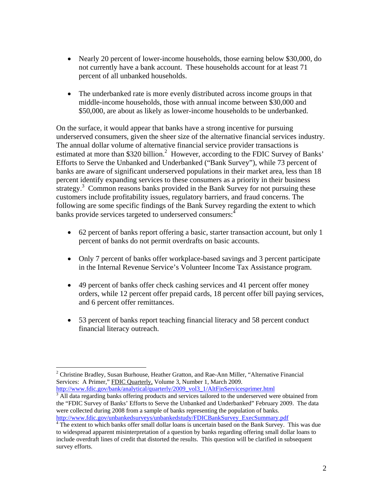- Nearly 20 percent of lower-income households, those earning below \$30,000, do not currently have a bank account. These households account for at least 71 percent of all unbanked households.
- The underbanked rate is more evenly distributed across income groups in that middle-income households, those with annual income between \$30,000 and \$50,000, are about as likely as lower-income households to be underbanked.

On the surface, it would appear that banks have a strong incentive for pursuing underserved consumers, given the sheer size of the alternative financial services industry. The annual dollar volume of alternative financial service provider transactions is estimated at more than \$320 billion.<sup>2</sup> However, according to the FDIC Survey of Banks' Efforts to Serve the Unbanked and Underbanked ("Bank Survey"), while 73 percent of banks are aware of significant underserved populations in their market area, less than 18 percent identify expanding services to these consumers as a priority in their business strategy.<sup>3</sup> Common reasons banks provided in the Bank Survey for not pursuing these customers include profitability issues, regulatory barriers, and fraud concerns. The following are some specific findings of the Bank Survey regarding the extent to which banks provide services targeted to underserved consumers:<sup>4</sup>

- 62 percent of banks report offering a basic, starter transaction account, but only 1 percent of banks do not permit overdrafts on basic accounts.
- Only 7 percent of banks offer workplace-based savings and 3 percent participate in the Internal Revenue Service's Volunteer Income Tax Assistance program.
- 49 percent of banks offer check cashing services and 41 percent offer money orders, while 12 percent offer prepaid cards, 18 percent offer bill paying services, and 6 percent offer remittances.
- 53 percent of banks report teaching financial literacy and 58 percent conduct financial literacy outreach.

 $\overline{a}$ <sup>2</sup> Christine Bradley, Susan Burhouse, Heather Gratton, and Rae-Ann Miller, "Alternative Financial Services: A Primer," FDIC Quarterly, Volume 3, Number 1, March 2009. http://www.fdic.gov/bank/analytical/quarterly/2009\_vol3\_1/AltFinServicesprimer.html

 $3$  All data regarding banks offering products and services tailored to the underserved were obtained from the "FDIC Survey of Banks' Efforts to Serve the Unbanked and Underbanked" February 2009. The data were collected during 2008 from a sample of banks representing the population of banks. http://www.fdic.gov/unbankedsurveys/unbankedstudy/FDICBankSurvey\_ExecSummary.pdf

<sup>&</sup>lt;sup>4</sup> The extent to which banks offer small dollar loans is uncertain based on the Bank Survey. This was due to widespread apparent misinterpretation of a question by banks regarding offering small dollar loans to include overdraft lines of credit that distorted the results. This question will be clarified in subsequent survey efforts.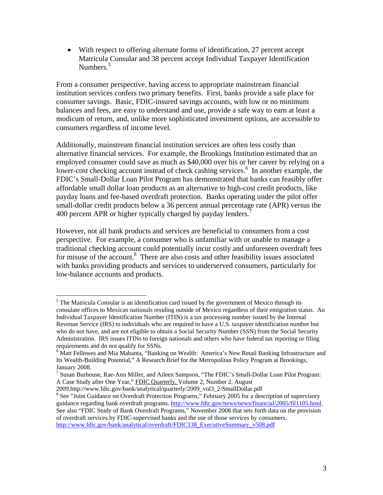With respect to offering alternate forms of identification, 27 percent accept Matricula Consular and 38 percent accept Individual Taxpayer Identification Numbers.<sup>5</sup>

From a consumer perspective, having access to appropriate mainstream financial institution services confers two primary benefits. First, banks provide a safe place for consumer savings. Basic, FDIC-insured savings accounts, with low or no minimum balances and fees, are easy to understand and use, provide a safe way to earn at least a modicum of return, and, unlike more sophisticated investment options, are accessible to consumers regardless of income level.

Additionally, mainstream financial institution services are often less costly than alternative financial services. For example, the Brookings Institution estimated that an employed consumer could save as much as \$40,000 over his or her career by relying on a lower-cost checking account instead of check cashing services.<sup>6</sup> In another example, the FDIC's Small-Dollar Loan Pilot Program has demonstrated that banks can feasibly offer affordable small dollar loan products as an alternative to high-cost credit products, like payday loans and fee-based overdraft protection. Banks operating under the pilot offer small-dollar credit products below a 36 percent annual percentage rate (APR) versus the 400 percent APR or higher typically charged by payday lenders.<sup>7</sup>

However, not all bank products and services are beneficial to consumers from a cost perspective. For example, a consumer who is unfamiliar with or unable to manage a traditional checking account could potentially incur costly and unforeseen overdraft fees for misuse of the account.<sup>8</sup> There are also costs and other feasibility issues associated with banks providing products and services to underserved consumers, particularly for low-balance accounts and products.

1

 $<sup>5</sup>$  The Matricula Consular is an identification card issued by the government of Mexico through its</sup> consulate offices to Mexican nationals residing outside of Mexico regardless of their emigration status. An Individual Taxpayer Identification Number (ITIN) is a tax processing number issued by the Internal Revenue Service (IRS) to individuals who are required to have a U.S. taxpayer identification number but who do not have, and are not eligible to obtain a Social Security Number (SSN) from the Social Security Administration. IRS issues ITINs to foreign nationals and others who have federal tax reporting or filing requirements and do not qualify for SSNs.

<sup>&</sup>lt;sup>6</sup> Matt Fellowes and Mia Mabanta, "Banking on Wealth: America's New Retail Banking Infrastructure and Its Wealth-Building Potential," A Research Brief for the Metropolitan Policy Program at Brookings, January 2008.

<sup>&</sup>lt;sup>7</sup> Susan Burhouse, Rae-Ann Miller, and Aileen Sampson, "The FDIC's Small-Dollar Loan Pilot Program: A Case Study after One Year," FDIC Quarterly, Volume 2, Number 2, August

<sup>2009.</sup>http://www.fdic.gov/bank/analytical/quarterly/2009\_vol3\_2/SmallDollar.pdf

<sup>&</sup>lt;sup>8</sup> See "Joint Guidance on Overdraft Protection Programs," February 2005 for a description of supervisory guidance regarding bank overdraft programs. http://www.fdic.gov/news/news/financial/2005/fil1105.html. See also "FDIC Study of Bank Overdraft Programs," November 2008 that sets forth data on the provision of overdraft services by FDIC-supervised banks and the use of those services by consumers. http://www.fdic.gov/bank/analytical/overdraft/FDIC138\_ExecutiveSummary\_v508.pdf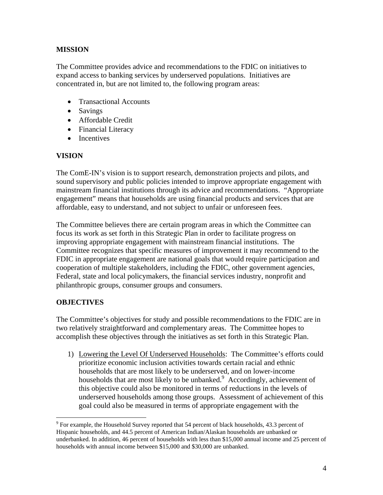# **MISSION**

The Committee provides advice and recommendations to the FDIC on initiatives to expand access to banking services by underserved populations. Initiatives are concentrated in, but are not limited to, the following program areas:

- Transactional Accounts
- Savings
- Affordable Credit
- Financial Literacy
- Incentives

## **VISION**

The ComE-IN's vision is to support research, demonstration projects and pilots, and sound supervisory and public policies intended to improve appropriate engagement with mainstream financial institutions through its advice and recommendations. "Appropriate engagement" means that households are using financial products and services that are affordable, easy to understand, and not subject to unfair or unforeseen fees.

The Committee believes there are certain program areas in which the Committee can focus its work as set forth in this Strategic Plan in order to facilitate progress on improving appropriate engagement with mainstream financial institutions. The Committee recognizes that specific measures of improvement it may recommend to the FDIC in appropriate engagement are national goals that would require participation and cooperation of multiple stakeholders, including the FDIC, other government agencies, Federal, state and local policymakers, the financial services industry, nonprofit and philanthropic groups, consumer groups and consumers.

## **OBJECTIVES**

 $\overline{a}$ 

The Committee's objectives for study and possible recommendations to the FDIC are in two relatively straightforward and complementary areas. The Committee hopes to accomplish these objectives through the initiatives as set forth in this Strategic Plan.

1) Lowering the Level Of Underserved Households: The Committee's efforts could prioritize economic inclusion activities towards certain racial and ethnic households that are most likely to be underserved, and on lower-income households that are most likely to be unbanked.<sup>9</sup> Accordingly, achievement of this objective could also be monitored in terms of reductions in the levels of underserved households among those groups. Assessment of achievement of this goal could also be measured in terms of appropriate engagement with the

 $9^9$  For example, the Household Survey reported that 54 percent of black households, 43.3 percent of Hispanic households, and 44.5 percent of American Indian/Alaskan households are unbanked or underbanked. In addition, 46 percent of households with less than \$15,000 annual income and 25 percent of households with annual income between \$15,000 and \$30,000 are unbanked.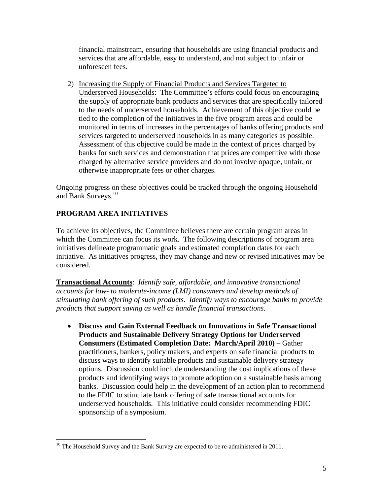financial mainstream, ensuring that households are using financial products and services that are affordable, easy to understand, and not subject to unfair or unforeseen fees.

2) Increasing the Supply of Financial Products and Services Targeted to Underserved Households: The Committee's efforts could focus on encouraging the supply of appropriate bank products and services that are specifically tailored to the needs of underserved households. Achievement of this objective could be tied to the completion of the initiatives in the five program areas and could be monitored in terms of increases in the percentages of banks offering products and services targeted to underserved households in as many categories as possible. Assessment of this objective could be made in the context of prices charged by banks for such services and demonstration that prices are competitive with those charged by alternative service providers and do not involve opaque, unfair, or otherwise inappropriate fees or other charges.

Ongoing progress on these objectives could be tracked through the ongoing Household and Bank Surveys.<sup>10</sup>

# **PROGRAM AREA INITIATIVES**

To achieve its objectives, the Committee believes there are certain program areas in which the Committee can focus its work. The following descriptions of program area initiatives delineate programmatic goals and estimated completion dates for each initiative. As initiatives progress, they may change and new or revised initiatives may be considered.

**Transactional Accounts**: *Identify safe, affordable, and innovative transactional accounts for low- to moderate-income (LMI) consumers and develop methods of stimulating bank offering of such products. Identify ways to encourage banks to provide products that support saving as well as handle financial transactions.* 

 **Discuss and Gain External Feedback on Innovations in Safe Transactional Products and Sustainable Delivery Strategy Options for Underserved Consumers (Estimated Completion Date: March/April 2010) –** Gather practitioners, bankers, policy makers, and experts on safe financial products to discuss ways to identify suitable products and sustainable delivery strategy options. Discussion could include understanding the cost implications of these products and identifying ways to promote adoption on a sustainable basis among banks. Discussion could help in the development of an action plan to recommend to the FDIC to stimulate bank offering of safe transactional accounts for underserved households. This initiative could consider recommending FDIC sponsorship of a symposium.

 $\overline{a}$  $10$  The Household Survey and the Bank Survey are expected to be re-administered in 2011.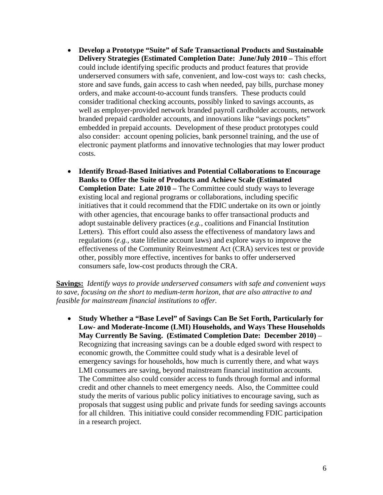- **Develop a Prototype "Suite" of Safe Transactional Products and Sustainable Delivery Strategies (Estimated Completion Date: June/July 2010 – This effort** could include identifying specific products and product features that provide underserved consumers with safe, convenient, and low-cost ways to: cash checks, store and save funds, gain access to cash when needed, pay bills, purchase money orders, and make account-to-account funds transfers. These products could consider traditional checking accounts, possibly linked to savings accounts, as well as employer-provided network branded payroll cardholder accounts, network branded prepaid cardholder accounts, and innovations like "savings pockets" embedded in prepaid accounts. Development of these product prototypes could also consider: account opening policies, bank personnel training, and the use of electronic payment platforms and innovative technologies that may lower product costs.
- **Identify Broad-Based Initiatives and Potential Collaborations to Encourage Banks to Offer the Suite of Products and Achieve Scale (Estimated Completion Date: Late 2010 –** The Committee could study ways to leverage existing local and regional programs or collaborations, including specific initiatives that it could recommend that the FDIC undertake on its own or jointly with other agencies, that encourage banks to offer transactional products and adopt sustainable delivery practices (*e.g.,* coalitions and Financial Institution Letters). This effort could also assess the effectiveness of mandatory laws and regulations (*e.g.,* state lifeline account laws) and explore ways to improve the effectiveness of the Community Reinvestment Act (CRA) services test or provide other, possibly more effective, incentives for banks to offer underserved consumers safe, low-cost products through the CRA.

**Savings:** *Identify ways to provide underserved consumers with safe and convenient ways to save, focusing on the short to medium-term horizon, that are also attractive to and feasible for mainstream financial institutions to offer.* 

 **Study Whether a "Base Level" of Savings Can Be Set Forth, Particularly for Low- and Moderate-Income (LMI) Households, and Ways These Households May Currently Be Saving. (Estimated Completion Date: December 2010)** – Recognizing that increasing savings can be a double edged sword with respect to economic growth, the Committee could study what is a desirable level of emergency savings for households, how much is currently there, and what ways LMI consumers are saving, beyond mainstream financial institution accounts. The Committee also could consider access to funds through formal and informal credit and other channels to meet emergency needs. Also, the Committee could study the merits of various public policy initiatives to encourage saving, such as proposals that suggest using public and private funds for seeding savings accounts for all children. This initiative could consider recommending FDIC participation in a research project.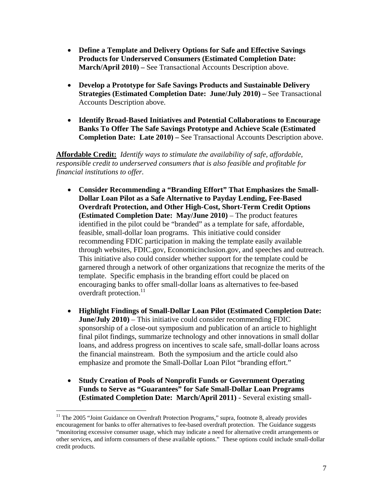- **Define a Template and Delivery Options for Safe and Effective Savings Products for Underserved Consumers (Estimated Completion Date: March/April 2010) –** See Transactional Accounts Description above.
- **Develop a Prototype for Safe Savings Products and Sustainable Delivery Strategies (Estimated Completion Date: June/July 2010) –** See Transactional Accounts Description above.
- **Identify Broad-Based Initiatives and Potential Collaborations to Encourage Banks To Offer The Safe Savings Prototype and Achieve Scale (Estimated Completion Date: Late 2010) –** See Transactional Accounts Description above.

**Affordable Credit:** *Identify ways to stimulate the availability of safe, affordable, responsible credit to underserved consumers that is also feasible and profitable for financial institutions to offer.* 

- **Consider Recommending a "Branding Effort" That Emphasizes the Small-Dollar Loan Pilot as a Safe Alternative to Payday Lending, Fee-Based Overdraft Protection, and Other High-Cost, Short-Term Credit Options (Estimated Completion Date: May/June 2010)** – The product features identified in the pilot could be "branded" as a template for safe, affordable, feasible, small-dollar loan programs. This initiative could consider recommending FDIC participation in making the template easily available through websites, FDIC.gov, Economicinclusion.gov, and speeches and outreach. This initiative also could consider whether support for the template could be garnered through a network of other organizations that recognize the merits of the template. Specific emphasis in the branding effort could be placed on encouraging banks to offer small-dollar loans as alternatives to fee-based overdraft protection.<sup>11</sup>
- **Highlight Findings of Small-Dollar Loan Pilot (Estimated Completion Date: June/July 2010)** – This initiative could consider recommending FDIC sponsorship of a close-out symposium and publication of an article to highlight final pilot findings, summarize technology and other innovations in small dollar loans, and address progress on incentives to scale safe, small-dollar loans across the financial mainstream. Both the symposium and the article could also emphasize and promote the Small-Dollar Loan Pilot "branding effort."
- **Study Creation of Pools of Nonprofit Funds or Government Operating Funds to Serve as "Guarantees" for Safe Small-Dollar Loan Programs (Estimated Completion Date: March/April 2011)** - Several existing small-

 $\overline{a}$ 

<sup>&</sup>lt;sup>11</sup> The 2005 "Joint Guidance on Overdraft Protection Programs," supra, footnote 8, already provides encouragement for banks to offer alternatives to fee-based overdraft protection. The Guidance suggests "monitoring excessive consumer usage, which may indicate a need for alternative credit arrangements or other services, and inform consumers of these available options." These options could include small-dollar credit products.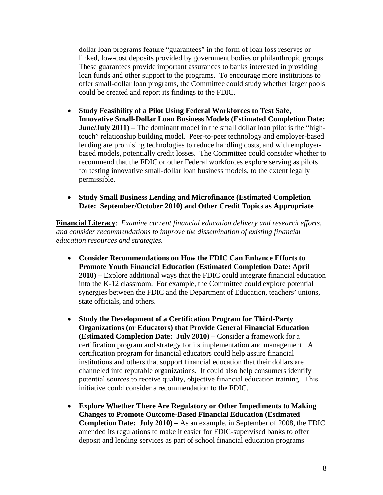dollar loan programs feature "guarantees" in the form of loan loss reserves or linked, low-cost deposits provided by government bodies or philanthropic groups. These guarantees provide important assurances to banks interested in providing loan funds and other support to the programs. To encourage more institutions to offer small-dollar loan programs, the Committee could study whether larger pools could be created and report its findings to the FDIC.

- **Study Feasibility of a Pilot Using Federal Workforces to Test Safe, Innovative Small-Dollar Loan Business Models (Estimated Completion Date: June/July 2011**) – The dominant model in the small dollar loan pilot is the "hightouch" relationship building model. Peer-to-peer technology and employer-based lending are promising technologies to reduce handling costs, and with employerbased models, potentially credit losses. The Committee could consider whether to recommend that the FDIC or other Federal workforces explore serving as pilots for testing innovative small-dollar loan business models, to the extent legally permissible.
- **Study Small Business Lending and Microfinance (Estimated Completion Date: September/October 2010) and Other Credit Topics as Appropriate**

**Financial Literacy**: *Examine current financial education delivery and research efforts, and consider recommendations to improve the dissemination of existing financial education resources and strategies.* 

- **Consider Recommendations on How the FDIC Can Enhance Efforts to Promote Youth Financial Education (Estimated Completion Date: April 2010) –** Explore additional ways that the FDIC could integrate financial education into the K-12 classroom. For example, the Committee could explore potential synergies between the FDIC and the Department of Education, teachers' unions, state officials, and others.
- **Study the Development of a Certification Program for Third-Party Organizations (or Educators) that Provide General Financial Education (Estimated Completion Date: July 2010) –** Consider a framework for a certification program and strategy for its implementation and management. A certification program for financial educators could help assure financial institutions and others that support financial education that their dollars are channeled into reputable organizations. It could also help consumers identify potential sources to receive quality, objective financial education training. This initiative could consider a recommendation to the FDIC.
- **Explore Whether There Are Regulatory or Other Impediments to Making Changes to Promote Outcome-Based Financial Education (Estimated Completion Date: July 2010) –** As an example, in September of 2008, the FDIC amended its regulations to make it easier for FDIC-supervised banks to offer deposit and lending services as part of school financial education programs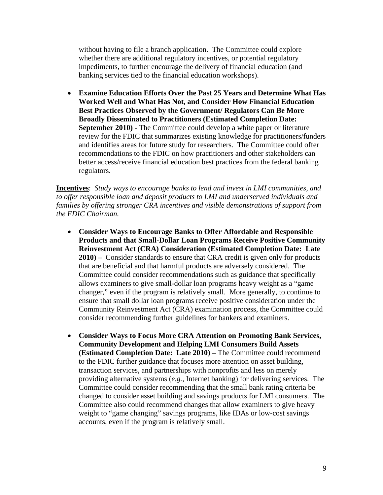without having to file a branch application. The Committee could explore whether there are additional regulatory incentives, or potential regulatory impediments, to further encourage the delivery of financial education (and banking services tied to the financial education workshops).

 **Examine Education Efforts Over the Past 25 Years and Determine What Has Worked Well and What Has Not, and Consider How Financial Education Best Practices Observed by the Government/ Regulators Can Be More Broadly Disseminated to Practitioners (Estimated Completion Date: September 2010) - The Committee could develop a white paper or literature** review for the FDIC that summarizes existing knowledge for practitioners/funders and identifies areas for future study for researchers. The Committee could offer recommendations to the FDIC on how practitioners and other stakeholders can better access/receive financial education best practices from the federal banking regulators.

**Incentives**: *Study ways to encourage banks to lend and invest in LMI communities, and to offer responsible loan and deposit products to LMI and underserved individuals and families by offering stronger CRA incentives and visible demonstrations of support from the FDIC Chairman.* 

- **Consider Ways to Encourage Banks to Offer Affordable and Responsible Products and that Small-Dollar Loan Programs Receive Positive Community Reinvestment Act (CRA) Consideration (Estimated Completion Date: Late 2010) –** Consider standards to ensure that CRA credit is given only for products that are beneficial and that harmful products are adversely considered. The Committee could consider recommendations such as guidance that specifically allows examiners to give small-dollar loan programs heavy weight as a "game changer," even if the program is relatively small. More generally, to continue to ensure that small dollar loan programs receive positive consideration under the Community Reinvestment Act (CRA) examination process, the Committee could consider recommending further guidelines for bankers and examiners.
- **Consider Ways to Focus More CRA Attention on Promoting Bank Services, Community Development and Helping LMI Consumers Build Assets (Estimated Completion Date: Late 2010) –** The Committee could recommend to the FDIC further guidance that focuses more attention on asset building, transaction services, and partnerships with nonprofits and less on merely providing alternative systems (*e.g.,* Internet banking) for delivering services. The Committee could consider recommending that the small bank rating criteria be changed to consider asset building and savings products for LMI consumers. The Committee also could recommend changes that allow examiners to give heavy weight to "game changing" savings programs, like IDAs or low-cost savings accounts, even if the program is relatively small.